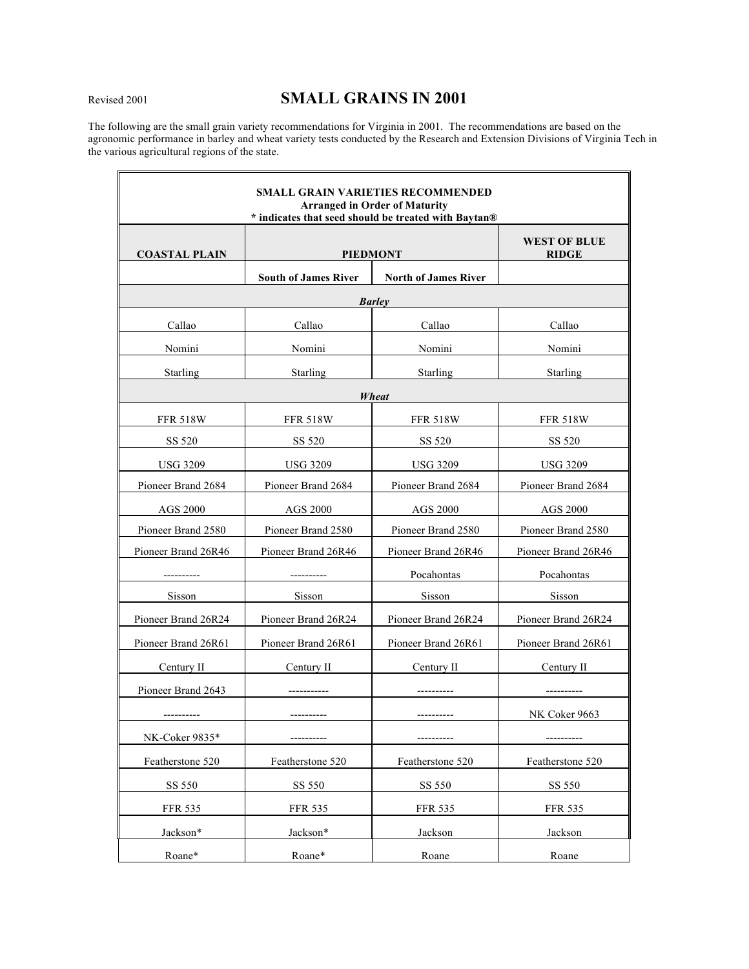# Revised <sup>2001</sup> **SMALL GRAINS IN 2001**

The following are the small grain variety recommendations for Virginia in 2001. The recommendations are based on the agronomic performance in barley and wheat variety tests conducted by the Research and Extension Divisions of Virginia Tech in the various agricultural regions of the state.

 $\overline{\mathbf{u}}$ 

| <b>SMALL GRAIN VARIETIES RECOMMENDED</b><br><b>Arranged in Order of Maturity</b><br>* indicates that seed should be treated with Baytan® |                             |                             |                                     |
|------------------------------------------------------------------------------------------------------------------------------------------|-----------------------------|-----------------------------|-------------------------------------|
| <b>COASTAL PLAIN</b>                                                                                                                     | <b>PIEDMONT</b>             |                             | <b>WEST OF BLUE</b><br><b>RIDGE</b> |
|                                                                                                                                          | <b>South of James River</b> | <b>North of James River</b> |                                     |
| <b>Barley</b>                                                                                                                            |                             |                             |                                     |
| Callao                                                                                                                                   | Callao                      | Callao                      | Callao                              |
| Nomini                                                                                                                                   | Nomini                      | Nomini                      | Nomini                              |
| Starling                                                                                                                                 | Starling                    | Starling                    | Starling                            |
| Wheat                                                                                                                                    |                             |                             |                                     |
| <b>FFR 518W</b>                                                                                                                          | <b>FFR 518W</b>             | <b>FFR 518W</b>             | <b>FFR 518W</b>                     |
| SS 520                                                                                                                                   | SS 520                      | SS 520                      | SS 520                              |
| <b>USG 3209</b>                                                                                                                          | <b>USG 3209</b>             | <b>USG 3209</b>             | <b>USG 3209</b>                     |
| Pioneer Brand 2684                                                                                                                       | Pioneer Brand 2684          | Pioneer Brand 2684          | Pioneer Brand 2684                  |
| <b>AGS 2000</b>                                                                                                                          | <b>AGS 2000</b>             | AGS 2000                    | <b>AGS 2000</b>                     |
| Pioneer Brand 2580                                                                                                                       | Pioneer Brand 2580          | Pioneer Brand 2580          | Pioneer Brand 2580                  |
| Pioneer Brand 26R46                                                                                                                      | Pioneer Brand 26R46         | Pioneer Brand 26R46         | Pioneer Brand 26R46                 |
|                                                                                                                                          |                             | Pocahontas                  | Pocahontas                          |
| Sisson                                                                                                                                   | Sisson                      | Sisson                      | Sisson                              |
| Pioneer Brand 26R24                                                                                                                      | Pioneer Brand 26R24         | Pioneer Brand 26R24         | Pioneer Brand 26R24                 |
| Pioneer Brand 26R61                                                                                                                      | Pioneer Brand 26R61         | Pioneer Brand 26R61         | Pioneer Brand 26R61                 |
| Century II                                                                                                                               | Century II                  | Century II                  | Century II                          |
| Pioneer Brand 2643                                                                                                                       |                             |                             |                                     |
|                                                                                                                                          |                             |                             | NK Coker 9663                       |
| NK-Coker 9835*                                                                                                                           |                             |                             |                                     |
| Featherstone 520                                                                                                                         | Featherstone 520            | Featherstone 520            | Featherstone 520                    |
| SS 550                                                                                                                                   | SS 550                      | SS 550                      | SS 550                              |
| <b>FFR 535</b>                                                                                                                           | <b>FFR 535</b>              | <b>FFR 535</b>              | FFR 535                             |
| Jackson*                                                                                                                                 | Jackson*                    | Jackson                     | Jackson                             |
| Roane*                                                                                                                                   | Roane*                      | Roane                       | Roane                               |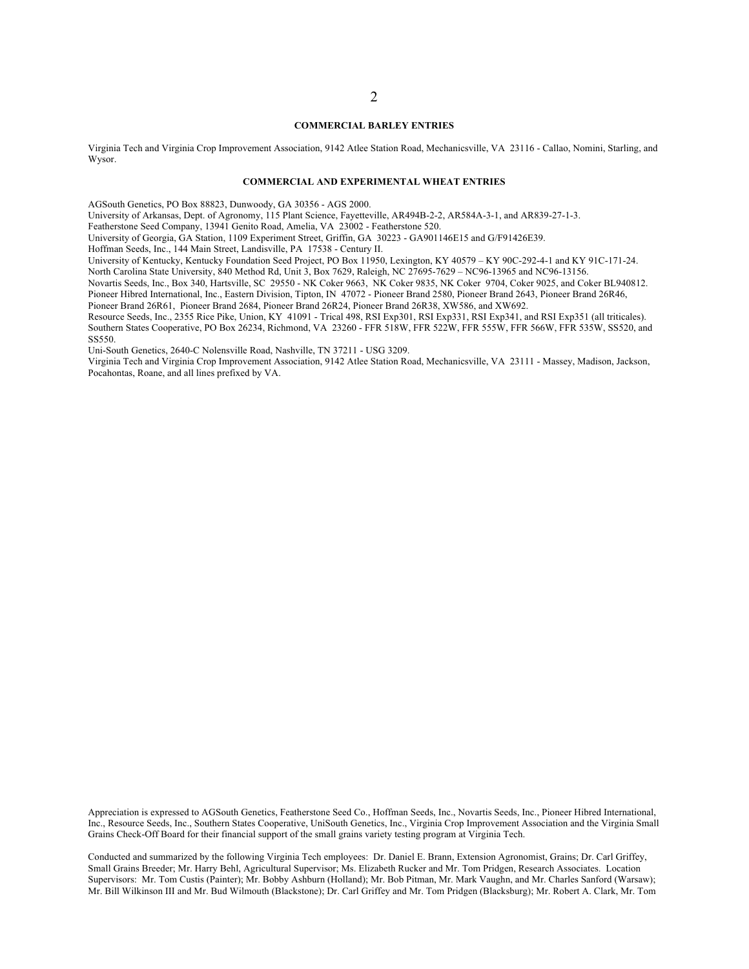#### **COMMERCIAL BARLEY ENTRIES**

Virginia Tech and Virginia Crop Improvement Association, 9142 Atlee Station Road, Mechanicsville, VA 23116 - Callao, Nomini, Starling, and Wysor.

#### **COMMERCIAL AND EXPERIMENTAL WHEAT ENTRIES**

AGSouth Genetics, PO Box 88823, Dunwoody, GA 30356 - AGS 2000.

University of Arkansas, Dept. of Agronomy, 115 Plant Science, Fayetteville, AR494B-2-2, AR584A-3-1, and AR839-27-1-3.

Featherstone Seed Company, 13941 Genito Road, Amelia, VA 23002 - Featherstone 520.

University of Georgia, GA Station, 1109 Experiment Street, Griffin, GA 30223 - GA901146E15 and G/F91426E39.

Hoffman Seeds, Inc., 144 Main Street, Landisville, PA 17538 - Century II.

University of Kentucky, Kentucky Foundation Seed Project, PO Box 11950, Lexington, KY 40579 – KY 90C-292-4-1 and KY 91C-171-24. North Carolina State University, 840 Method Rd, Unit 3, Box 7629, Raleigh, NC 27695-7629 – NC96-13965 and NC96-13156.

Novartis Seeds, Inc., Box 340, Hartsville, SC 29550 - NK Coker 9663, NK Coker 9835, NK Coker 9704, Coker 9025, and Coker BL940812. Pioneer Hibred International, Inc., Eastern Division, Tipton, IN 47072 - Pioneer Brand 2580, Pioneer Brand 2643, Pioneer Brand 26R46,

Pioneer Brand 26R61, Pioneer Brand 2684, Pioneer Brand 26R24, Pioneer Brand 26R38, XW586, and XW692.

Resource Seeds, Inc., 2355 Rice Pike, Union, KY 41091 - Trical 498, RSI Exp301, RSI Exp331, RSI Exp341, and RSI Exp351 (all triticales). Southern States Cooperative, PO Box 26234, Richmond, VA 23260 - FFR 518W, FFR 522W, FFR 555W, FFR 566W, FFR 535W, SS520, and SS550.

Uni-South Genetics, 2640-C Nolensville Road, Nashville, TN 37211 - USG 3209.

Virginia Tech and Virginia Crop Improvement Association, 9142 Atlee Station Road, Mechanicsville, VA 23111 - Massey, Madison, Jackson, Pocahontas, Roane, and all lines prefixed by VA.

Appreciation is expressed to AGSouth Genetics, Featherstone Seed Co., Hoffman Seeds, Inc., Novartis Seeds, Inc., Pioneer Hibred International, Inc., Resource Seeds, Inc., Southern States Cooperative, UniSouth Genetics, Inc., Virginia Crop Improvement Association and the Virginia Small Grains Check-Off Board for their financial support of the small grains variety testing program at Virginia Tech.

Conducted and summarized by the following Virginia Tech employees: Dr. Daniel E. Brann, Extension Agronomist, Grains; Dr. Carl Griffey, Small Grains Breeder; Mr. Harry Behl, Agricultural Supervisor; Ms. Elizabeth Rucker and Mr. Tom Pridgen, Research Associates. Location Supervisors: Mr. Tom Custis (Painter); Mr. Bobby Ashburn (Holland); Mr. Bob Pitman, Mr. Mark Vaughn, and Mr. Charles Sanford (Warsaw); Mr. Bill Wilkinson III and Mr. Bud Wilmouth (Blackstone); Dr. Carl Griffey and Mr. Tom Pridgen (Blacksburg); Mr. Robert A. Clark, Mr. Tom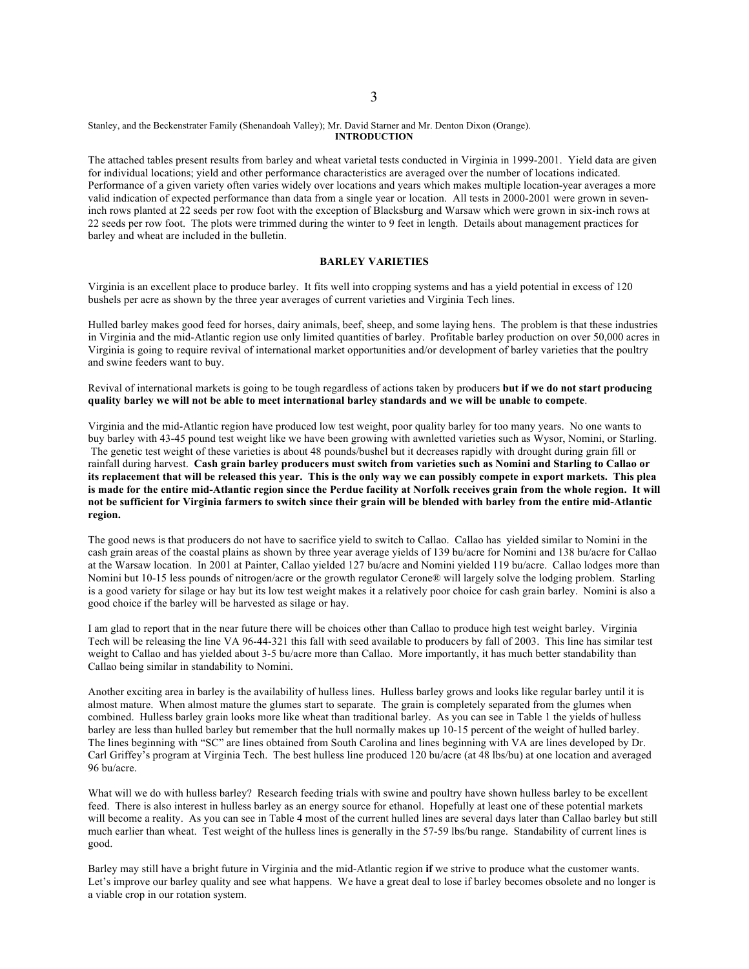#### Stanley, and the Beckenstrater Family (Shenandoah Valley); Mr. David Starner and Mr. Denton Dixon (Orange). **INTRODUCTION**

The attached tables present results from barley and wheat varietal tests conducted in Virginia in 1999-2001. Yield data are given for individual locations; yield and other performance characteristics are averaged over the number of locations indicated. Performance of a given variety often varies widely over locations and years which makes multiple location-year averages a more valid indication of expected performance than data from a single year or location. All tests in 2000-2001 were grown in seveninch rows planted at 22 seeds per row foot with the exception of Blacksburg and Warsaw which were grown in six-inch rows at 22 seeds per row foot. The plots were trimmed during the winter to 9 feet in length. Details about management practices for barley and wheat are included in the bulletin.

## **BARLEY VARIETIES**

Virginia is an excellent place to produce barley. It fits well into cropping systems and has a yield potential in excess of 120 bushels per acre as shown by the three year averages of current varieties and Virginia Tech lines.

Hulled barley makes good feed for horses, dairy animals, beef, sheep, and some laying hens. The problem is that these industries in Virginia and the mid-Atlantic region use only limited quantities of barley. Profitable barley production on over 50,000 acres in Virginia is going to require revival of international market opportunities and/or development of barley varieties that the poultry and swine feeders want to buy.

Revival of international markets is going to be tough regardless of actions taken by producers **but if we do not start producing** quality barley we will not be able to meet international barley standards and we will be unable to compete.

Virginia and the mid-Atlantic region have produced low test weight, poor quality barley for too many years. No one wants to buy barley with 43-45 pound test weight like we have been growing with awnletted varieties such as Wysor, Nomini, or Starling. The genetic test weight of these varieties is about 48 pounds/bushel but it decreases rapidly with drought during grain fill or rainfall during harvest. Cash grain barley producers must switch from varieties such as Nomini and Starling to Callao or its replacement that will be released this year. This is the only way we can possibly compete in export markets. This plea is made for the entire mid-Atlantic region since the Perdue facility at Norfolk receives grain from the whole region. It will not be sufficient for Virginia farmers to switch since their grain will be blended with barley from the entire mid-Atlantic **region.**

The good news is that producers do not have to sacrifice yield to switch to Callao. Callao has yielded similar to Nomini in the cash grain areas of the coastal plains as shown by three year average yields of 139 bu/acre for Nomini and 138 bu/acre for Callao at the Warsaw location. In 2001 at Painter, Callao yielded 127 bu/acre and Nomini yielded 119 bu/acre. Callao lodges more than Nomini but 10-15 less pounds of nitrogen/acre or the growth regulator Cerone® will largely solve the lodging problem. Starling is a good variety for silage or hay but its low test weight makes it a relatively poor choice for cash grain barley. Nomini is also a good choice if the barley will be harvested as silage or hay.

I am glad to report that in the near future there will be choices other than Callao to produce high test weight barley. Virginia Tech will be releasing the line VA 96-44-321 this fall with seed available to producers by fall of 2003. This line has similar test weight to Callao and has yielded about 3-5 bu/acre more than Callao. More importantly, it has much better standability than Callao being similar in standability to Nomini.

Another exciting area in barley is the availability of hulless lines. Hulless barley grows and looks like regular barley until it is almost mature. When almost mature the glumes start to separate. The grain is completely separated from the glumes when combined. Hulless barley grain looks more like wheat than traditional barley. As you can see in Table 1 the yields of hulless barley are less than hulled barley but remember that the hull normally makes up 10-15 percent of the weight of hulled barley. The lines beginning with "SC" are lines obtained from South Carolina and lines beginning with VA are lines developed by Dr. Carl Griffey's program at Virginia Tech. The best hulless line produced 120 bu/acre (at 48 lbs/bu) at one location and averaged 96 bu/acre.

What will we do with hulless barley? Research feeding trials with swine and poultry have shown hulless barley to be excellent feed. There is also interest in hulless barley as an energy source for ethanol. Hopefully at least one of these potential markets will become a reality. As you can see in Table 4 most of the current hulled lines are several days later than Callao barley but still much earlier than wheat. Test weight of the hulless lines is generally in the 57-59 lbs/bu range. Standability of current lines is good.

Barley may still have a bright future in Virginia and the mid-Atlantic region **if** we strive to produce what the customer wants. Let's improve our barley quality and see what happens. We have a great deal to lose if barley becomes obsolete and no longer is a viable crop in our rotation system.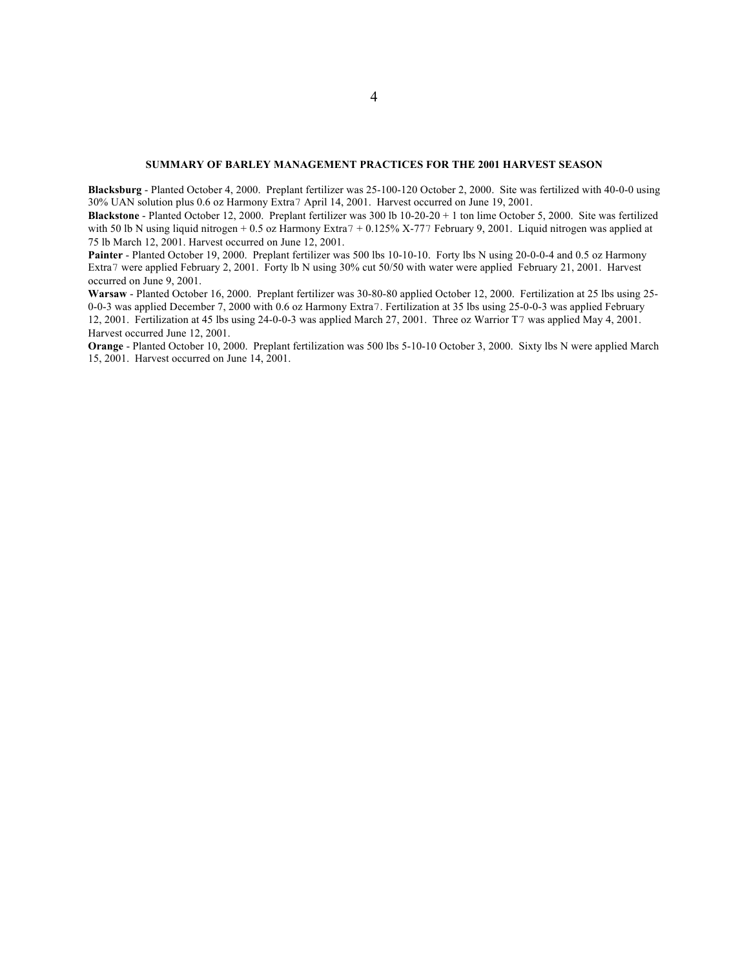### **SUMMARY OF BARLEY MANAGEMENT PRACTICES FOR THE 2001 HARVEST SEASON**

**Blacksburg** - Planted October 4, 2000. Preplant fertilizer was 25-100-120 October 2, 2000. Site was fertilized with 40-0-0 using 30% UAN solution plus 0.6 oz Harmony Extra7 April 14, 2001. Harvest occurred on June 19, 2001.

**Blackstone** - Planted October 12, 2000. Preplant fertilizer was 300 lb 10-20-20 + 1 ton lime October 5, 2000. Site was fertilized with 50 lb N using liquid nitrogen + 0.5 oz Harmony Extra7 + 0.125% X-777 February 9, 2001. Liquid nitrogen was applied at 75 lb March 12, 2001. Harvest occurred on June 12, 2001.

Painter - Planted October 19, 2000. Preplant fertilizer was 500 lbs 10-10-10. Forty lbs N using 20-0-0-4 and 0.5 oz Harmony Extra7 were applied February 2, 2001. Forty lb N using 30% cut 50/50 with water were applied February 21, 2001. Harvest occurred on June 9, 2001.

**Warsaw** - Planted October 16, 2000. Preplant fertilizer was 30-80-80 applied October 12, 2000. Fertilization at 25 lbs using 25- 0-0-3 was applied December 7, 2000 with 0.6 oz Harmony Extra7. Fertilization at 35 lbs using 25-0-0-3 was applied February 12, 2001. Fertilization at 45 lbs using 24-0-0-3 was applied March 27, 2001. Three oz Warrior T7 was applied May 4, 2001. Harvest occurred June 12, 2001.

**Orange** - Planted October 10, 2000. Preplant fertilization was 500 lbs 5-10-10 October 3, 2000. Sixty lbs N were applied March 15, 2001. Harvest occurred on June 14, 2001.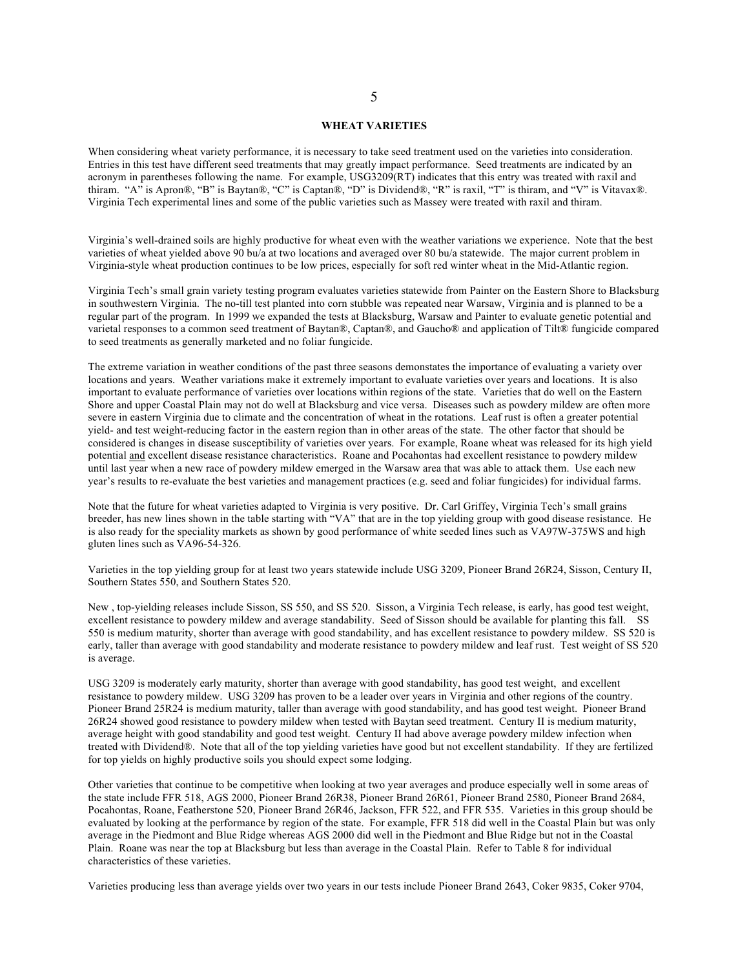#### **WHEAT VARIETIES**

When considering wheat variety performance, it is necessary to take seed treatment used on the varieties into consideration. Entries in this test have different seed treatments that may greatly impact performance. Seed treatments are indicated by an acronym in parentheses following the name. For example, USG3209(RT) indicates that this entry was treated with raxil and thiram. "A" is Apron®, "B" is Baytan®, "C" is Captan®, "D" is Dividend®, "R" is raxil, "T" is thiram, and "V" is Vitavax®. Virginia Tech experimental lines and some of the public varieties such as Massey were treated with raxil and thiram.

Virginia's well-drained soils are highly productive for wheat even with the weather variations we experience. Note that the best varieties of wheat yielded above 90 bu/a at two locations and averaged over 80 bu/a statewide. The major current problem in Virginia-style wheat production continues to be low prices, especially for soft red winter wheat in the Mid-Atlantic region.

Virginia Tech's small grain variety testing program evaluates varieties statewide from Painter on the Eastern Shore to Blacksburg in southwestern Virginia. The no-till test planted into corn stubble was repeated near Warsaw, Virginia and is planned to be a regular part of the program. In 1999 we expanded the tests at Blacksburg, Warsaw and Painter to evaluate genetic potential and varietal responses to a common seed treatment of Baytan®, Captan®, and Gaucho® and application of Tilt® fungicide compared to seed treatments as generally marketed and no foliar fungicide.

The extreme variation in weather conditions of the past three seasons demonstates the importance of evaluating a variety over locations and years. Weather variations make it extremely important to evaluate varieties over years and locations. It is also important to evaluate performance of varieties over locations within regions of the state. Varieties that do well on the Eastern Shore and upper Coastal Plain may not do well at Blacksburg and vice versa. Diseases such as powdery mildew are often more severe in eastern Virginia due to climate and the concentration of wheat in the rotations. Leaf rust is often a greater potential yield- and test weight-reducing factor in the eastern region than in other areas of the state. The other factor that should be considered is changes in disease susceptibility of varieties over years. For example, Roane wheat was released for its high yield potential and excellent disease resistance characteristics. Roane and Pocahontas had excellent resistance to powdery mildew until last year when a new race of powdery mildew emerged in the Warsaw area that was able to attack them. Use each new year's results to re-evaluate the best varieties and management practices (e.g. seed and foliar fungicides) for individual farms.

Note that the future for wheat varieties adapted to Virginia is very positive. Dr. Carl Griffey, Virginia Tech's small grains breeder, has new lines shown in the table starting with "VA" that are in the top yielding group with good disease resistance. He is also ready for the speciality markets as shown by good performance of white seeded lines such as VA97W-375WS and high gluten lines such as VA96-54-326.

Varieties in the top yielding group for at least two years statewide include USG 3209, Pioneer Brand 26R24, Sisson, Century II, Southern States 550, and Southern States 520.

New , top-yielding releases include Sisson, SS 550, and SS 520. Sisson, a Virginia Tech release, is early, has good test weight, excellent resistance to powdery mildew and average standability. Seed of Sisson should be available for planting this fall. SS 550 is medium maturity, shorter than average with good standability, and has excellent resistance to powdery mildew. SS 520 is early, taller than average with good standability and moderate resistance to powdery mildew and leaf rust. Test weight of SS 520 is average.

USG 3209 is moderately early maturity, shorter than average with good standability, has good test weight, and excellent resistance to powdery mildew. USG 3209 has proven to be a leader over years in Virginia and other regions of the country. Pioneer Brand 25R24 is medium maturity, taller than average with good standability, and has good test weight. Pioneer Brand 26R24 showed good resistance to powdery mildew when tested with Baytan seed treatment. Century II is medium maturity, average height with good standability and good test weight. Century II had above average powdery mildew infection when treated with Dividend®. Note that all of the top yielding varieties have good but not excellent standability. If they are fertilized for top yields on highly productive soils you should expect some lodging.

Other varieties that continue to be competitive when looking at two year averages and produce especially well in some areas of the state include FFR 518, AGS 2000, Pioneer Brand 26R38, Pioneer Brand 26R61, Pioneer Brand 2580, Pioneer Brand 2684, Pocahontas, Roane, Featherstone 520, Pioneer Brand 26R46, Jackson, FFR 522, and FFR 535. Varieties in this group should be evaluated by looking at the performance by region of the state. For example, FFR 518 did well in the Coastal Plain but was only average in the Piedmont and Blue Ridge whereas AGS 2000 did well in the Piedmont and Blue Ridge but not in the Coastal Plain. Roane was near the top at Blacksburg but less than average in the Coastal Plain. Refer to Table 8 for individual characteristics of these varieties.

Varieties producing less than average yields over two years in our tests include Pioneer Brand 2643, Coker 9835, Coker 9704,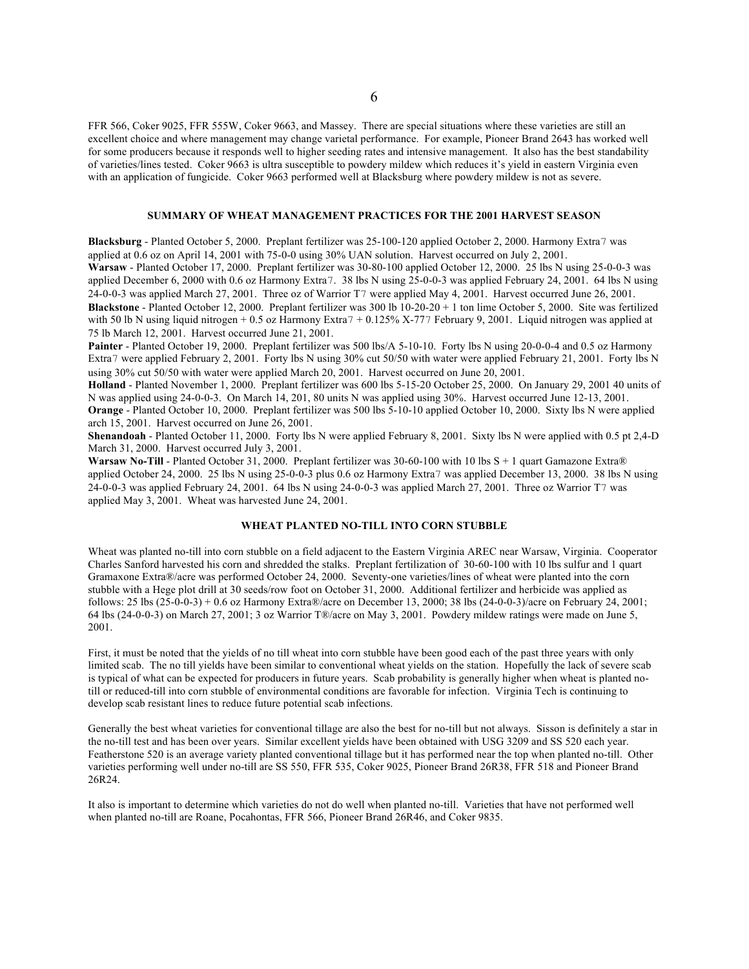FFR 566, Coker 9025, FFR 555W, Coker 9663, and Massey. There are special situations where these varieties are still an excellent choice and where management may change varietal performance. For example, Pioneer Brand 2643 has worked well for some producers because it responds well to higher seeding rates and intensive management. It also has the best standability of varieties/lines tested. Coker 9663 is ultra susceptible to powdery mildew which reduces it's yield in eastern Virginia even with an application of fungicide. Coker 9663 performed well at Blacksburg where powdery mildew is not as severe.

# **SUMMARY OF WHEAT MANAGEMENT PRACTICES FOR THE 2001 HARVEST SEASON**

**Blacksburg** - Planted October 5, 2000. Preplant fertilizer was 25-100-120 applied October 2, 2000. Harmony Extra7 was applied at 0.6 oz on April 14, 2001 with 75-0-0 using 30% UAN solution. Harvest occurred on July 2, 2001. **Warsaw** - Planted October 17, 2000. Preplant fertilizer was 30-80-100 applied October 12, 2000. 25 lbs N using 25-0-0-3 was applied December 6, 2000 with 0.6 oz Harmony Extra7. 38 lbs N using 25-0-0-3 was applied February 24, 2001. 64 lbs N using 24-0-0-3 was applied March 27, 2001. Three oz of Warrior T7 were applied May 4, 2001. Harvest occurred June 26, 2001. **Blackstone** - Planted October 12, 2000. Preplant fertilizer was 300 lb 10-20-20 + 1 ton lime October 5, 2000. Site was fertilized with 50 lb N using liquid nitrogen + 0.5 oz Harmony Extra 7 + 0.125% X-777 February 9, 2001. Liquid nitrogen was applied at 75 lb March 12, 2001. Harvest occurred June 21, 2001.

**Painter** - Planted October 19, 2000. Preplant fertilizer was 500 lbs/A 5-10-10. Forty lbs N using 20-0-0-4 and 0.5 oz Harmony Extra7 were applied February 2, 2001. Forty lbs N using 30% cut 50/50 with water were applied February 21, 2001. Forty lbs N using 30% cut 50/50 with water were applied March 20, 2001. Harvest occurred on June 20, 2001.

**Holland** - Planted November 1, 2000. Preplant fertilizer was 600 lbs 5-15-20 October 25, 2000. On January 29, 2001 40 units of N was applied using 24-0-0-3. On March 14, 201, 80 units N was applied using 30%. Harvest occurred June 12-13, 2001. **Orange** - Planted October 10, 2000. Preplant fertilizer was 500 lbs 5-10-10 applied October 10, 2000. Sixty lbs N were applied arch 15, 2001. Harvest occurred on June 26, 2001.

**Shenandoah** - Planted October 11, 2000. Forty lbs N were applied February 8, 2001. Sixty lbs N were applied with 0.5 pt 2,4-D March 31, 2000. Harvest occurred July 3, 2001.

**Warsaw No-Till** - Planted October 31, 2000. Preplant fertilizer was 30-60-100 with 10 lbs S + 1 quart Gamazone Extra® applied October 24, 2000. 25 lbs N using 25-0-0-3 plus 0.6 oz Harmony Extra7 was applied December 13, 2000. 38 lbs N using 24-0-0-3 was applied February 24, 2001. 64 lbs N using 24-0-0-3 was applied March 27, 2001. Three oz Warrior T7 was applied May 3, 2001. Wheat was harvested June 24, 2001.

# **WHEAT PLANTED NO-TILL INTO CORN STUBBLE**

Wheat was planted no-till into corn stubble on a field adjacent to the Eastern Virginia AREC near Warsaw, Virginia. Cooperator Charles Sanford harvested his corn and shredded the stalks. Preplant fertilization of 30-60-100 with 10 lbs sulfur and 1 quart Gramaxone Extra®/acre was performed October 24, 2000. Seventy-one varieties/lines of wheat were planted into the corn stubble with a Hege plot drill at 30 seeds/row foot on October 31, 2000. Additional fertilizer and herbicide was applied as follows: 25 lbs (25-0-0-3) + 0.6 oz Harmony Extra®/acre on December 13, 2000; 38 lbs (24-0-0-3)/acre on February 24, 2001; 64 lbs (24-0-0-3) on March 27, 2001; 3 oz Warrior T®/acre on May 3, 2001. Powdery mildew ratings were made on June 5, 2001.

First, it must be noted that the yields of no till wheat into corn stubble have been good each of the past three years with only limited scab. The no till yields have been similar to conventional wheat yields on the station. Hopefully the lack of severe scab is typical of what can be expected for producers in future years. Scab probability is generally higher when wheat is planted notill or reduced-till into corn stubble of environmental conditions are favorable for infection. Virginia Tech is continuing to develop scab resistant lines to reduce future potential scab infections.

Generally the best wheat varieties for conventional tillage are also the best for no-till but not always. Sisson is definitely a star in the no-till test and has been over years. Similar excellent yields have been obtained with USG 3209 and SS 520 each year. Featherstone 520 is an average variety planted conventional tillage but it has performed near the top when planted no-till. Other varieties performing well under no-till are SS 550, FFR 535, Coker 9025, Pioneer Brand 26R38, FFR 518 and Pioneer Brand 26R24.

It also is important to determine which varieties do not do well when planted no-till. Varieties that have not performed well when planted no-till are Roane, Pocahontas, FFR 566, Pioneer Brand 26R46, and Coker 9835.